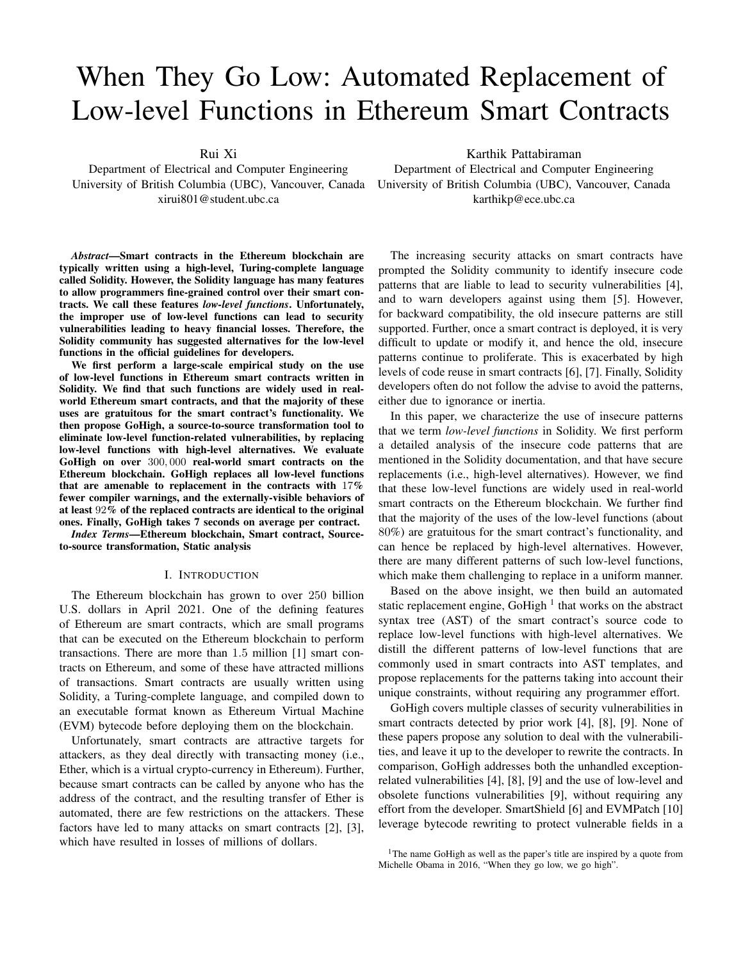# When They Go Low: Automated Replacement of Low-level Functions in Ethereum Smart Contracts

Rui Xi

Department of Electrical and Computer Engineering University of British Columbia (UBC), Vancouver, Canada xirui801@student.ubc.ca

*Abstract*—Smart contracts in the Ethereum blockchain are typically written using a high-level, Turing-complete language called Solidity. However, the Solidity language has many features to allow programmers fine-grained control over their smart contracts. We call these features *low-level functions*. Unfortunately, the improper use of low-level functions can lead to security vulnerabilities leading to heavy financial losses. Therefore, the Solidity community has suggested alternatives for the low-level functions in the official guidelines for developers.

We first perform a large-scale empirical study on the use of low-level functions in Ethereum smart contracts written in Solidity. We find that such functions are widely used in realworld Ethereum smart contracts, and that the majority of these uses are gratuitous for the smart contract's functionality. We then propose GoHigh, a source-to-source transformation tool to eliminate low-level function-related vulnerabilities, by replacing low-level functions with high-level alternatives. We evaluate GoHigh on over 300, 000 real-world smart contracts on the Ethereum blockchain. GoHigh replaces all low-level functions that are amenable to replacement in the contracts with 17% fewer compiler warnings, and the externally-visible behaviors of at least 92% of the replaced contracts are identical to the original ones. Finally, GoHigh takes 7 seconds on average per contract.

*Index Terms*—Ethereum blockchain, Smart contract, Sourceto-source transformation, Static analysis

#### I. INTRODUCTION

The Ethereum blockchain has grown to over 250 billion U.S. dollars in April 2021. One of the defining features of Ethereum are smart contracts, which are small programs that can be executed on the Ethereum blockchain to perform transactions. There are more than 1.5 million [1] smart contracts on Ethereum, and some of these have attracted millions of transactions. Smart contracts are usually written using Solidity, a Turing-complete language, and compiled down to an executable format known as Ethereum Virtual Machine (EVM) bytecode before deploying them on the blockchain.

Unfortunately, smart contracts are attractive targets for attackers, as they deal directly with transacting money (i.e., Ether, which is a virtual crypto-currency in Ethereum). Further, because smart contracts can be called by anyone who has the address of the contract, and the resulting transfer of Ether is automated, there are few restrictions on the attackers. These factors have led to many attacks on smart contracts [2], [3], which have resulted in losses of millions of dollars.

Karthik Pattabiraman Department of Electrical and Computer Engineering University of British Columbia (UBC), Vancouver, Canada karthikp@ece.ubc.ca

The increasing security attacks on smart contracts have prompted the Solidity community to identify insecure code patterns that are liable to lead to security vulnerabilities [4], and to warn developers against using them [5]. However, for backward compatibility, the old insecure patterns are still supported. Further, once a smart contract is deployed, it is very difficult to update or modify it, and hence the old, insecure patterns continue to proliferate. This is exacerbated by high levels of code reuse in smart contracts [6], [7]. Finally, Solidity developers often do not follow the advise to avoid the patterns, either due to ignorance or inertia.

In this paper, we characterize the use of insecure patterns that we term *low-level functions* in Solidity. We first perform a detailed analysis of the insecure code patterns that are mentioned in the Solidity documentation, and that have secure replacements (i.e., high-level alternatives). However, we find that these low-level functions are widely used in real-world smart contracts on the Ethereum blockchain. We further find that the majority of the uses of the low-level functions (about 80%) are gratuitous for the smart contract's functionality, and can hence be replaced by high-level alternatives. However, there are many different patterns of such low-level functions, which make them challenging to replace in a uniform manner.

Based on the above insight, we then build an automated static replacement engine, GoHigh  $<sup>1</sup>$  that works on the abstract</sup> syntax tree (AST) of the smart contract's source code to replace low-level functions with high-level alternatives. We distill the different patterns of low-level functions that are commonly used in smart contracts into AST templates, and propose replacements for the patterns taking into account their unique constraints, without requiring any programmer effort.

GoHigh covers multiple classes of security vulnerabilities in smart contracts detected by prior work [4], [8], [9]. None of these papers propose any solution to deal with the vulnerabilities, and leave it up to the developer to rewrite the contracts. In comparison, GoHigh addresses both the unhandled exceptionrelated vulnerabilities [4], [8], [9] and the use of low-level and obsolete functions vulnerabilities [9], without requiring any effort from the developer. SmartShield [6] and EVMPatch [10] leverage bytecode rewriting to protect vulnerable fields in a

<sup>&</sup>lt;sup>1</sup>The name GoHigh as well as the paper's title are inspired by a quote from Michelle Obama in 2016, "When they go low, we go high".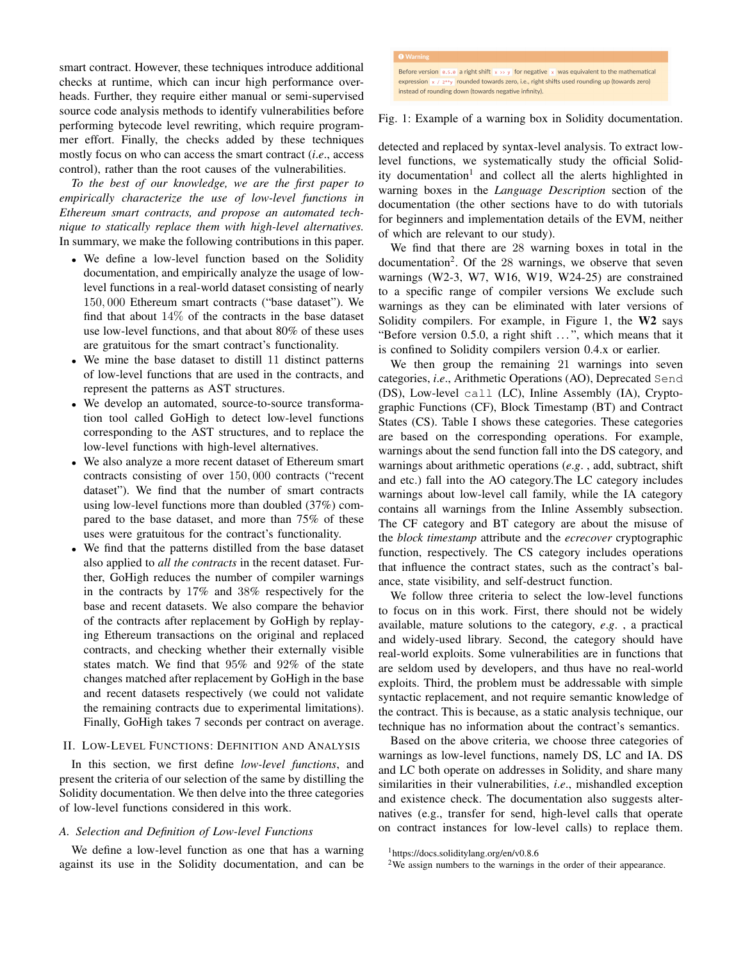smart contract. However, these techniques introduce additional checks at runtime, which can incur high performance overheads. Further, they require either manual or semi-supervised source code analysis methods to identify vulnerabilities before performing bytecode level rewriting, which require programmer effort. Finally, the checks added by these techniques mostly focus on who can access the smart contract (*i*.*e*., access control), rather than the root causes of the vulnerabilities.

*To the best of our knowledge, we are the first paper to empirically characterize the use of low-level functions in Ethereum smart contracts, and propose an automated technique to statically replace them with high-level alternatives.* In summary, we make the following contributions in this paper.

- We define a low-level function based on the Solidity documentation, and empirically analyze the usage of lowlevel functions in a real-world dataset consisting of nearly 150, 000 Ethereum smart contracts ("base dataset"). We find that about  $14\%$  of the contracts in the base dataset use low-level functions, and that about 80% of these uses are gratuitous for the smart contract's functionality.
- We mine the base dataset to distill 11 distinct patterns of low-level functions that are used in the contracts, and represent the patterns as AST structures.
- We develop an automated, source-to-source transformation tool called GoHigh to detect low-level functions corresponding to the AST structures, and to replace the low-level functions with high-level alternatives.
- We also analyze a more recent dataset of Ethereum smart contracts consisting of over 150, 000 contracts ("recent dataset"). We find that the number of smart contracts using low-level functions more than doubled (37%) compared to the base dataset, and more than 75% of these uses were gratuitous for the contract's functionality.
- We find that the patterns distilled from the base dataset also applied to *all the contracts* in the recent dataset. Further, GoHigh reduces the number of compiler warnings in the contracts by 17% and 38% respectively for the base and recent datasets. We also compare the behavior of the contracts after replacement by GoHigh by replaying Ethereum transactions on the original and replaced contracts, and checking whether their externally visible states match. We find that 95% and 92% of the state changes matched after replacement by GoHigh in the base and recent datasets respectively (we could not validate the remaining contracts due to experimental limitations). Finally, GoHigh takes 7 seconds per contract on average.

## II. LOW-LEVEL FUNCTIONS: DEFINITION AND ANALYSIS

In this section, we first define *low-level functions*, and present the criteria of our selection of the same by distilling the Solidity documentation. We then delve into the three categories of low-level functions considered in this work.

#### *A. Selection and Definition of Low-level Functions*

We define a low-level function as one that has a warning against its use in the Solidity documentation, and can be

## Fig. 1: Example of a warning box in Solidity documentation.

detected and replaced by syntax-level analysis. To extract lowlevel functions, we systematically study the official Solidity documentation<sup>1</sup> and collect all the alerts highlighted in warning boxes in the *Language Description* section of the documentation (the other sections have to do with tutorials for beginners and implementation details of the EVM, neither of which are relevant to our study).

We find that there are 28 warning boxes in total in the documentation<sup>2</sup>. Of the 28 warnings, we observe that seven warnings (W2-3, W7, W16, W19, W24-25) are constrained to a specific range of compiler versions We exclude such warnings as they can be eliminated with later versions of Solidity compilers. For example, in Figure 1, the W2 says "Before version  $0.5.0$ , a right shift  $\ldots$ ", which means that it is confined to Solidity compilers version 0.4.x or earlier.

We then group the remaining 21 warnings into seven categories, *i*.*e*., Arithmetic Operations (AO), Deprecated Send (DS), Low-level call (LC), Inline Assembly (IA), Cryptographic Functions (CF), Block Timestamp (BT) and Contract States (CS). Table I shows these categories. These categories are based on the corresponding operations. For example, warnings about the send function fall into the DS category, and warnings about arithmetic operations (*e*.*g*. , add, subtract, shift and etc.) fall into the AO category.The LC category includes warnings about low-level call family, while the IA category contains all warnings from the Inline Assembly subsection. The CF category and BT category are about the misuse of the *block timestamp* attribute and the *ecrecover* cryptographic function, respectively. The CS category includes operations that influence the contract states, such as the contract's balance, state visibility, and self-destruct function.

We follow three criteria to select the low-level functions to focus on in this work. First, there should not be widely available, mature solutions to the category, *e*.*g*. , a practical and widely-used library. Second, the category should have real-world exploits. Some vulnerabilities are in functions that are seldom used by developers, and thus have no real-world exploits. Third, the problem must be addressable with simple syntactic replacement, and not require semantic knowledge of the contract. This is because, as a static analysis technique, our technique has no information about the contract's semantics.

Based on the above criteria, we choose three categories of warnings as low-level functions, namely DS, LC and IA. DS and LC both operate on addresses in Solidity, and share many similarities in their vulnerabilities, *i*.*e*., mishandled exception and existence check. The documentation also suggests alternatives (e.g., transfer for send, high-level calls that operate on contract instances for low-level calls) to replace them.

<sup>1</sup>https://docs.soliditylang.org/en/v0.8.6

<sup>&</sup>lt;sup>2</sup>We assign numbers to the warnings in the order of their appearance.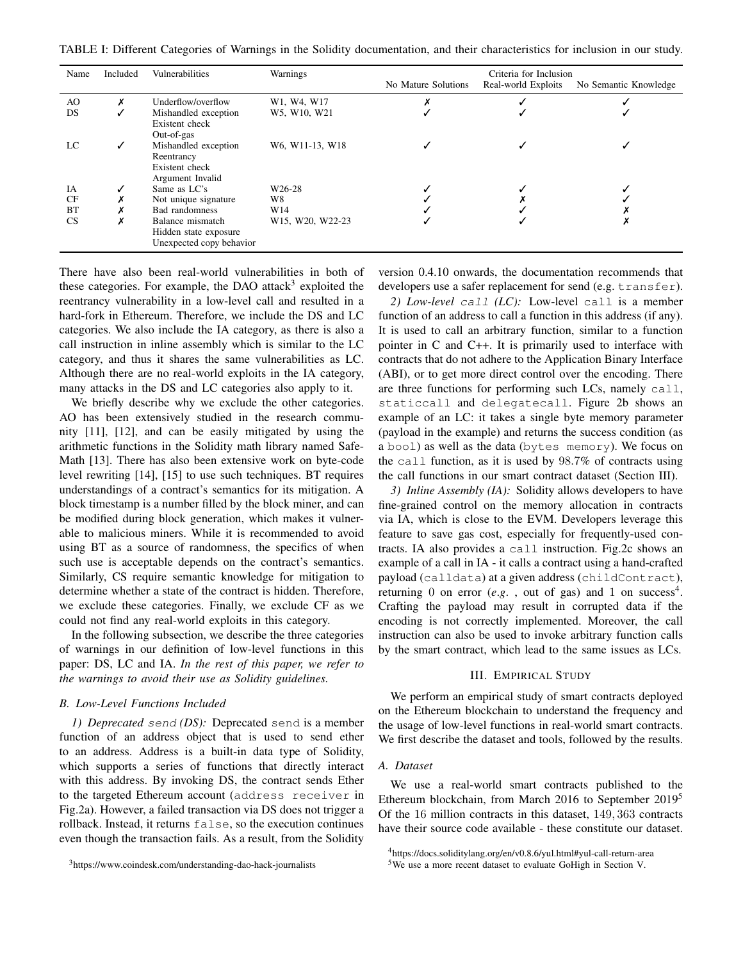TABLE I: Different Categories of Warnings in the Solidity documentation, and their characteristics for inclusion in our study.

| Name      | Included     | Vulnerabilities          | Warnings            | Criteria for Inclusion |                     |                       |
|-----------|--------------|--------------------------|---------------------|------------------------|---------------------|-----------------------|
|           |              |                          |                     | No Mature Solutions    | Real-world Exploits | No Semantic Knowledge |
| AO        | х            | Underflow/overflow       | W1, W4, W17         |                        |                     |                       |
| DS        |              | Mishandled exception     | W5, W10, W21        |                        |                     |                       |
|           |              | Existent check           |                     |                        |                     |                       |
|           |              | Out-of-gas               |                     |                        |                     |                       |
| LC        | $\checkmark$ | Mishandled exception     | W6, W11-13, W18     |                        |                     |                       |
|           |              | Reentrancy               |                     |                        |                     |                       |
|           |              | Existent check           |                     |                        |                     |                       |
|           |              | Argument Invalid         |                     |                        |                     |                       |
| IA        |              | Same as LC's             | W <sub>26</sub> -28 |                        |                     |                       |
| CF        | A            | Not unique signature     | W8                  |                        |                     |                       |
| <b>BT</b> | ↗            | Bad randomness           | W14                 |                        |                     |                       |
| CS        | ↗            | Balance mismatch         | W15, W20, W22-23    |                        |                     |                       |
|           |              | Hidden state exposure    |                     |                        |                     |                       |
|           |              | Unexpected copy behavior |                     |                        |                     |                       |

There have also been real-world vulnerabilities in both of these categories. For example, the DAO attack<sup>3</sup> exploited the reentrancy vulnerability in a low-level call and resulted in a hard-fork in Ethereum. Therefore, we include the DS and LC categories. We also include the IA category, as there is also a call instruction in inline assembly which is similar to the LC category, and thus it shares the same vulnerabilities as LC. Although there are no real-world exploits in the IA category, many attacks in the DS and LC categories also apply to it.

We briefly describe why we exclude the other categories. AO has been extensively studied in the research community [11], [12], and can be easily mitigated by using the arithmetic functions in the Solidity math library named Safe-Math [13]. There has also been extensive work on byte-code level rewriting [14], [15] to use such techniques. BT requires understandings of a contract's semantics for its mitigation. A block timestamp is a number filled by the block miner, and can be modified during block generation, which makes it vulnerable to malicious miners. While it is recommended to avoid using BT as a source of randomness, the specifics of when such use is acceptable depends on the contract's semantics. Similarly, CS require semantic knowledge for mitigation to determine whether a state of the contract is hidden. Therefore, we exclude these categories. Finally, we exclude CF as we could not find any real-world exploits in this category.

In the following subsection, we describe the three categories of warnings in our definition of low-level functions in this paper: DS, LC and IA. *In the rest of this paper, we refer to the warnings to avoid their use as Solidity guidelines.*

#### *B. Low-Level Functions Included*

*1) Deprecated* send *(DS):* Deprecated send is a member function of an address object that is used to send ether to an address. Address is a built-in data type of Solidity, which supports a series of functions that directly interact with this address. By invoking DS, the contract sends Ether to the targeted Ethereum account (address receiver in Fig.2a). However, a failed transaction via DS does not trigger a rollback. Instead, it returns false, so the execution continues even though the transaction fails. As a result, from the Solidity

<sup>3</sup>https://www.coindesk.com/understanding-dao-hack-journalists

version 0.4.10 onwards, the documentation recommends that developers use a safer replacement for send (e.g. transfer).

*2) Low-level* call *(LC):* Low-level call is a member function of an address to call a function in this address (if any). It is used to call an arbitrary function, similar to a function pointer in C and C++. It is primarily used to interface with contracts that do not adhere to the Application Binary Interface (ABI), or to get more direct control over the encoding. There are three functions for performing such LCs, namely call, staticcall and delegatecall. Figure 2b shows an example of an LC: it takes a single byte memory parameter (payload in the example) and returns the success condition (as a bool) as well as the data (bytes memory). We focus on the call function, as it is used by 98.7% of contracts using the call functions in our smart contract dataset (Section III).

*3) Inline Assembly (IA):* Solidity allows developers to have fine-grained control on the memory allocation in contracts via IA, which is close to the EVM. Developers leverage this feature to save gas cost, especially for frequently-used contracts. IA also provides a call instruction. Fig.2c shows an example of a call in IA - it calls a contract using a hand-crafted payload (calldata) at a given address (childContract), returning 0 on error  $(e.g.$ , out of gas) and 1 on success<sup>4</sup>. Crafting the payload may result in corrupted data if the encoding is not correctly implemented. Moreover, the call instruction can also be used to invoke arbitrary function calls by the smart contract, which lead to the same issues as LCs.

#### III. EMPIRICAL STUDY

We perform an empirical study of smart contracts deployed on the Ethereum blockchain to understand the frequency and the usage of low-level functions in real-world smart contracts. We first describe the dataset and tools, followed by the results.

#### *A. Dataset*

We use a real-world smart contracts published to the Ethereum blockchain, from March 2016 to September 2019<sup>5</sup> Of the 16 million contracts in this dataset, 149, 363 contracts have their source code available - these constitute our dataset.

<sup>4</sup>https://docs.soliditylang.org/en/v0.8.6/yul.html#yul-call-return-area

<sup>5</sup>We use a more recent dataset to evaluate GoHigh in Section V.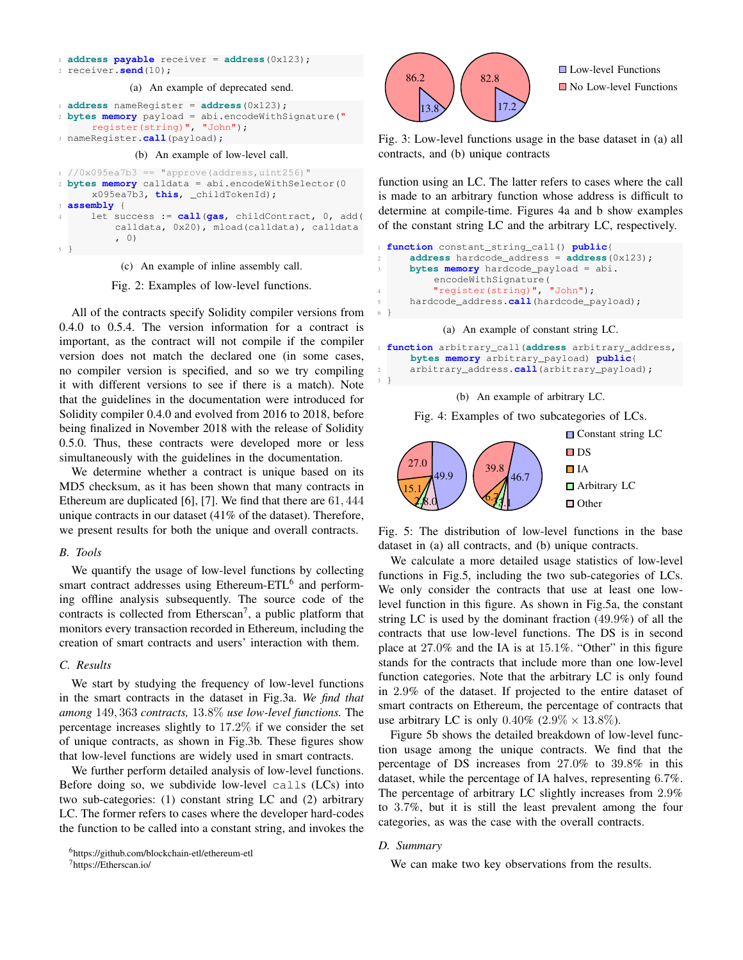```
1 address payable receiver = address(0x123);
2 receiver.send(10);
             (a) An example of deprecated send.
1 address nameRegister = address(0x123);
2 bytes memory payload = abi.encodeWithSignature("
      register(string)", "John");
3 nameRegister.call(payload);
              (b) An example of low-level call.
1 / (0x095ea7b3 == "approxe(address,uint256)"2 bytes memory calldata = abi.encodeWithSelector(0
      x095ea7b3, this, _childTokenId);
 3 assembly {
     4 let success := call(gas, childContract, 0, add(
          calldata, 0x20), mload(calldata), calldata
          , 0)
5 }
```
(c) An example of inline assembly call.

Fig. 2: Examples of low-level functions.

All of the contracts specify Solidity compiler versions from 0.4.0 to 0.5.4. The version information for a contract is important, as the contract will not compile if the compiler version does not match the declared one (in some cases, no compiler version is specified, and so we try compiling it with different versions to see if there is a match). Note that the guidelines in the documentation were introduced for Solidity compiler 0.4.0 and evolved from 2016 to 2018, before being finalized in November 2018 with the release of Solidity 0.5.0. Thus, these contracts were developed more or less simultaneously with the guidelines in the documentation.

We determine whether a contract is unique based on its MD5 checksum, as it has been shown that many contracts in Ethereum are duplicated [6], [7]. We find that there are 61, 444 unique contracts in our dataset (41% of the dataset). Therefore, we present results for both the unique and overall contracts.

#### *B. Tools*

We quantify the usage of low-level functions by collecting smart contract addresses using Ethereum-ETL $<sup>6</sup>$  and perform-</sup> ing offline analysis subsequently. The source code of the contracts is collected from Etherscan<sup>7</sup>, a public platform that monitors every transaction recorded in Ethereum, including the creation of smart contracts and users' interaction with them.

## *C. Results*

We start by studying the frequency of low-level functions in the smart contracts in the dataset in Fig.3a. *We find that among* 149, 363 *contracts,* 13.8% *use low-level functions.* The percentage increases slightly to 17.2% if we consider the set of unique contracts, as shown in Fig.3b. These figures show that low-level functions are widely used in smart contracts.

We further perform detailed analysis of low-level functions. Before doing so, we subdivide low-level calls (LCs) into two sub-categories: (1) constant string LC and (2) arbitrary LC. The former refers to cases where the developer hard-codes the function to be called into a constant string, and invokes the

```
6https://github.com/blockchain-etl/ethereum-etl
```
<sup>7</sup>https://Etherscan.io/



**□** Low-level Functions No Low-level Functions

Fig. 3: Low-level functions usage in the base dataset in (a) all contracts, and (b) unique contracts

function using an LC. The latter refers to cases where the call is made to an arbitrary function whose address is difficult to determine at compile-time. Figures 4a and b show examples of the constant string LC and the arbitrary LC, respectively.

```
function constant_string_call() public{
     2 address hardcode_address = address(0x123);
     3 bytes memory hardcode_payload = abi.
          encodeWithSignature(
          "register(string)", "John");
5 hardcode_address.call(hardcode_payload);
6 }
```
#### (a) An example of constant string LC.

<sup>1</sup> **function** arbitrary\_call(**address** arbitrary\_address, **bytes memory** arbitrary\_payload) **public**{ <sup>2</sup> arbitrary\_address.**call**(arbitrary\_payload); <sup>3</sup> }

#### (b) An example of arbitrary LC.

Fig. 4: Examples of two subcategories of LCs.



Fig. 5: The distribution of low-level functions in the base dataset in (a) all contracts, and (b) unique contracts.

We calculate a more detailed usage statistics of low-level functions in Fig.5, including the two sub-categories of LCs. We only consider the contracts that use at least one lowlevel function in this figure. As shown in Fig.5a, the constant string LC is used by the dominant fraction (49.9%) of all the contracts that use low-level functions. The DS is in second place at 27.0% and the IA is at 15.1%. "Other" in this figure stands for the contracts that include more than one low-level function categories. Note that the arbitrary LC is only found in 2.9% of the dataset. If projected to the entire dataset of smart contracts on Ethereum, the percentage of contracts that use arbitrary LC is only  $0.40\%$   $(2.9\% \times 13.8\%).$ 

Figure 5b shows the detailed breakdown of low-level function usage among the unique contracts. We find that the percentage of DS increases from 27.0% to 39.8% in this dataset, while the percentage of IA halves, representing 6.7%. The percentage of arbitrary LC slightly increases from 2.9% to 3.7%, but it is still the least prevalent among the four categories, as was the case with the overall contracts.

## *D. Summary*

We can make two key observations from the results.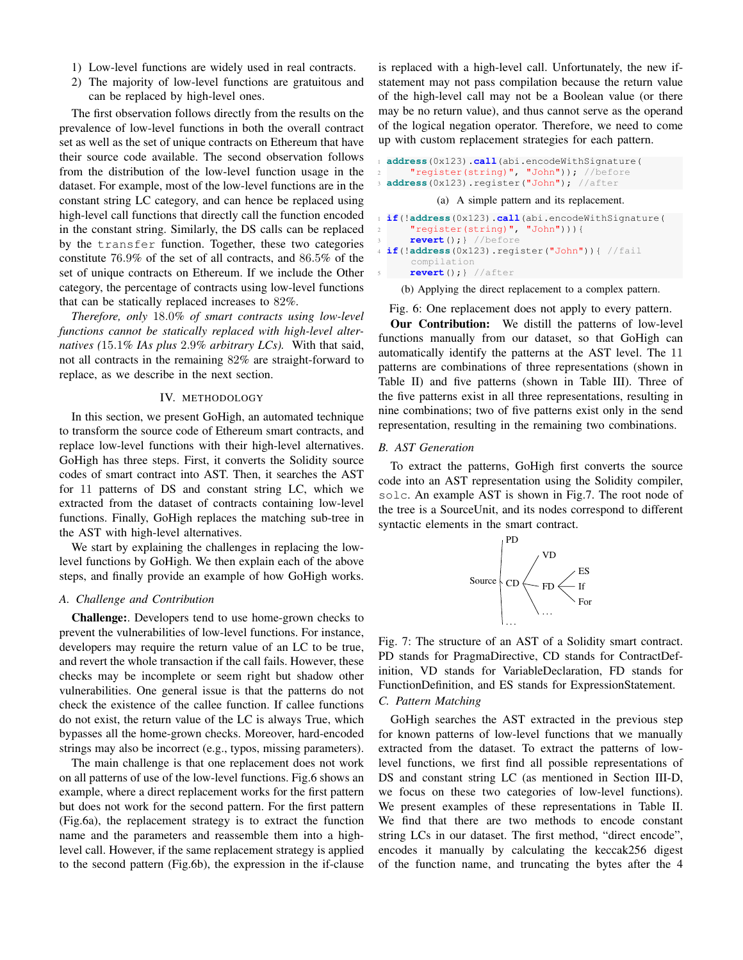- 1) Low-level functions are widely used in real contracts.
- 2) The majority of low-level functions are gratuitous and can be replaced by high-level ones.

The first observation follows directly from the results on the prevalence of low-level functions in both the overall contract set as well as the set of unique contracts on Ethereum that have their source code available. The second observation follows from the distribution of the low-level function usage in the dataset. For example, most of the low-level functions are in the constant string LC category, and can hence be replaced using high-level call functions that directly call the function encoded in the constant string. Similarly, the DS calls can be replaced by the transfer function. Together, these two categories constitute 76.9% of the set of all contracts, and 86.5% of the set of unique contracts on Ethereum. If we include the Other category, the percentage of contracts using low-level functions that can be statically replaced increases to 82%.

*Therefore, only* 18.0*% of smart contracts using low-level functions cannot be statically replaced with high-level alternatives (*15.1*% IAs plus* 2.9*% arbitrary LCs).* With that said, not all contracts in the remaining 82% are straight-forward to replace, as we describe in the next section.

#### IV. METHODOLOGY

In this section, we present GoHigh, an automated technique to transform the source code of Ethereum smart contracts, and replace low-level functions with their high-level alternatives. GoHigh has three steps. First, it converts the Solidity source codes of smart contract into AST. Then, it searches the AST for 11 patterns of DS and constant string LC, which we extracted from the dataset of contracts containing low-level functions. Finally, GoHigh replaces the matching sub-tree in the AST with high-level alternatives.

We start by explaining the challenges in replacing the lowlevel functions by GoHigh. We then explain each of the above steps, and finally provide an example of how GoHigh works.

#### *A. Challenge and Contribution*

Challenge:. Developers tend to use home-grown checks to prevent the vulnerabilities of low-level functions. For instance, developers may require the return value of an LC to be true, and revert the whole transaction if the call fails. However, these checks may be incomplete or seem right but shadow other vulnerabilities. One general issue is that the patterns do not check the existence of the callee function. If callee functions do not exist, the return value of the LC is always True, which bypasses all the home-grown checks. Moreover, hard-encoded strings may also be incorrect (e.g., typos, missing parameters).

The main challenge is that one replacement does not work on all patterns of use of the low-level functions. Fig.6 shows an example, where a direct replacement works for the first pattern but does not work for the second pattern. For the first pattern (Fig.6a), the replacement strategy is to extract the function name and the parameters and reassemble them into a highlevel call. However, if the same replacement strategy is applied to the second pattern (Fig.6b), the expression in the if-clause

is replaced with a high-level call. Unfortunately, the new ifstatement may not pass compilation because the return value of the high-level call may not be a Boolean value (or there may be no return value), and thus cannot serve as the operand of the logical negation operator. Therefore, we need to come up with custom replacement strategies for each pattern.

```
address(0x123).call(abi.encodeWithSignature(
    "register(string)", "John")); //before
3 address(0x123).register("John"); //after
         (a) A simple pattern and its replacement.
if(!address(0x123).call(abi.encodeWithSignature(
```

```
2 "register(string)", "John"))){
    3 revert();} //before
4 if(!address(0x123).register("John")){ //fail
    compilation
    5 revert();} //after
```
(b) Applying the direct replacement to a complex pattern.

#### Fig. 6: One replacement does not apply to every pattern.

Our Contribution: We distill the patterns of low-level functions manually from our dataset, so that GoHigh can automatically identify the patterns at the AST level. The 11 patterns are combinations of three representations (shown in Table II) and five patterns (shown in Table III). Three of the five patterns exist in all three representations, resulting in nine combinations; two of five patterns exist only in the send representation, resulting in the remaining two combinations.

## *B. AST Generation*

To extract the patterns, GoHigh first converts the source code into an AST representation using the Solidity compiler, solc. An example AST is shown in Fig.7. The root node of the tree is a SourceUnit, and its nodes correspond to different syntactic elements in the smart contract.



Fig. 7: The structure of an AST of a Solidity smart contract. PD stands for PragmaDirective, CD stands for ContractDefinition, VD stands for VariableDeclaration, FD stands for FunctionDefinition, and ES stands for ExpressionStatement.

## *C. Pattern Matching*

GoHigh searches the AST extracted in the previous step for known patterns of low-level functions that we manually extracted from the dataset. To extract the patterns of lowlevel functions, we first find all possible representations of DS and constant string LC (as mentioned in Section III-D, we focus on these two categories of low-level functions). We present examples of these representations in Table II. We find that there are two methods to encode constant string LCs in our dataset. The first method, "direct encode", encodes it manually by calculating the keccak256 digest of the function name, and truncating the bytes after the 4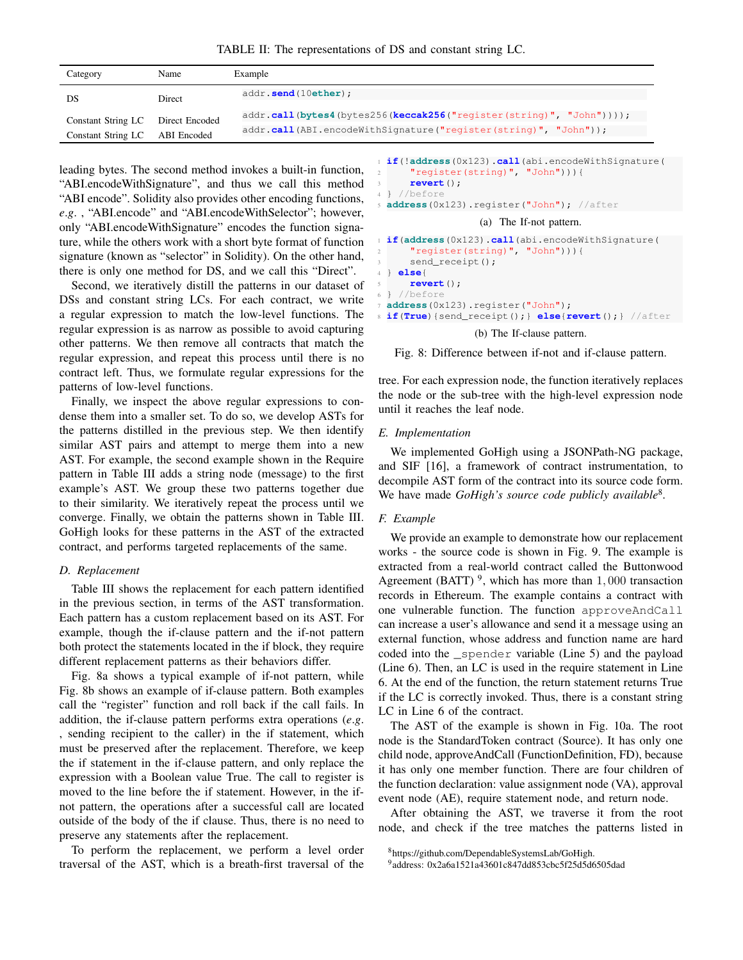TABLE II: The representations of DS and constant string LC.

| Category           | Name           | Example                                                               |
|--------------------|----------------|-----------------------------------------------------------------------|
| DS                 | Direct         | addr.send(10ether);                                                   |
| Constant String LC | Direct Encoded | $addr.call(bytes4(bytes256(keccak256("register(String)", "John"))));$ |
| Constant String LC | ABI Encoded    | addr.call(ABI.encodeWithSignature("register(string)", "John"));       |

leading bytes. The second method invokes a built-in function, "ABI.encodeWithSignature", and thus we call this method "ABI encode". Solidity also provides other encoding functions, *e*.*g*. , "ABI.encode" and "ABI.encodeWithSelector"; however, only "ABI.encodeWithSignature" encodes the function signature, while the others work with a short byte format of function signature (known as "selector" in Solidity). On the other hand, there is only one method for DS, and we call this "Direct".

Second, we iteratively distill the patterns in our dataset of DSs and constant string LCs. For each contract, we write a regular expression to match the low-level functions. The regular expression is as narrow as possible to avoid capturing other patterns. We then remove all contracts that match the regular expression, and repeat this process until there is no contract left. Thus, we formulate regular expressions for the patterns of low-level functions.

Finally, we inspect the above regular expressions to condense them into a smaller set. To do so, we develop ASTs for the patterns distilled in the previous step. We then identify similar AST pairs and attempt to merge them into a new AST. For example, the second example shown in the Require pattern in Table III adds a string node (message) to the first example's AST. We group these two patterns together due to their similarity. We iteratively repeat the process until we converge. Finally, we obtain the patterns shown in Table III. GoHigh looks for these patterns in the AST of the extracted contract, and performs targeted replacements of the same.

## *D. Replacement*

Table III shows the replacement for each pattern identified in the previous section, in terms of the AST transformation. Each pattern has a custom replacement based on its AST. For example, though the if-clause pattern and the if-not pattern both protect the statements located in the if block, they require different replacement patterns as their behaviors differ.

Fig. 8a shows a typical example of if-not pattern, while Fig. 8b shows an example of if-clause pattern. Both examples call the "register" function and roll back if the call fails. In addition, the if-clause pattern performs extra operations (*e*.*g*. , sending recipient to the caller) in the if statement, which must be preserved after the replacement. Therefore, we keep the if statement in the if-clause pattern, and only replace the expression with a Boolean value True. The call to register is moved to the line before the if statement. However, in the ifnot pattern, the operations after a successful call are located outside of the body of the if clause. Thus, there is no need to preserve any statements after the replacement.

To perform the replacement, we perform a level order traversal of the AST, which is a breath-first traversal of the

```
1 if(!address(0x123).call(abi.encodeWithSignature(
      2 "register(string)", "John"))){
     3 revert();
 4 } //before
5 address(0x123).register("John"); //after
                   (a) The If-not pattern.
```

```
1 if(address(0x123).call(abi.encodeWithSignature(
    2 "register(string)", "John"))){
    send_receipt();
4 } else{
    5 revert();
6 } //before
address(0x123).register("John");
8 if(True){send_receipt();} else{revert();} //after
```
## (b) The If-clause pattern.

Fig. 8: Difference between if-not and if-clause pattern.

tree. For each expression node, the function iteratively replaces the node or the sub-tree with the high-level expression node until it reaches the leaf node.

## *E. Implementation*

We implemented GoHigh using a JSONPath-NG package, and SIF [16], a framework of contract instrumentation, to decompile AST form of the contract into its source code form. We have made *GoHigh's source code publicly available*<sup>8</sup>.

## *F. Example*

We provide an example to demonstrate how our replacement works - the source code is shown in Fig. 9. The example is extracted from a real-world contract called the Buttonwood Agreement (BATT)<sup>9</sup>, which has more than  $1,000$  transaction records in Ethereum. The example contains a contract with one vulnerable function. The function approveAndCall can increase a user's allowance and send it a message using an external function, whose address and function name are hard coded into the \_spender variable (Line 5) and the payload (Line 6). Then, an LC is used in the require statement in Line 6. At the end of the function, the return statement returns True if the LC is correctly invoked. Thus, there is a constant string LC in Line 6 of the contract.

The AST of the example is shown in Fig. 10a. The root node is the StandardToken contract (Source). It has only one child node, approveAndCall (FunctionDefinition, FD), because it has only one member function. There are four children of the function declaration: value assignment node (VA), approval event node (AE), require statement node, and return node.

After obtaining the AST, we traverse it from the root node, and check if the tree matches the patterns listed in

<sup>8</sup>https://github.com/DependableSystemsLab/GoHigh.

<sup>9</sup> address: 0x2a6a1521a43601c847dd853cbc5f25d5d6505dad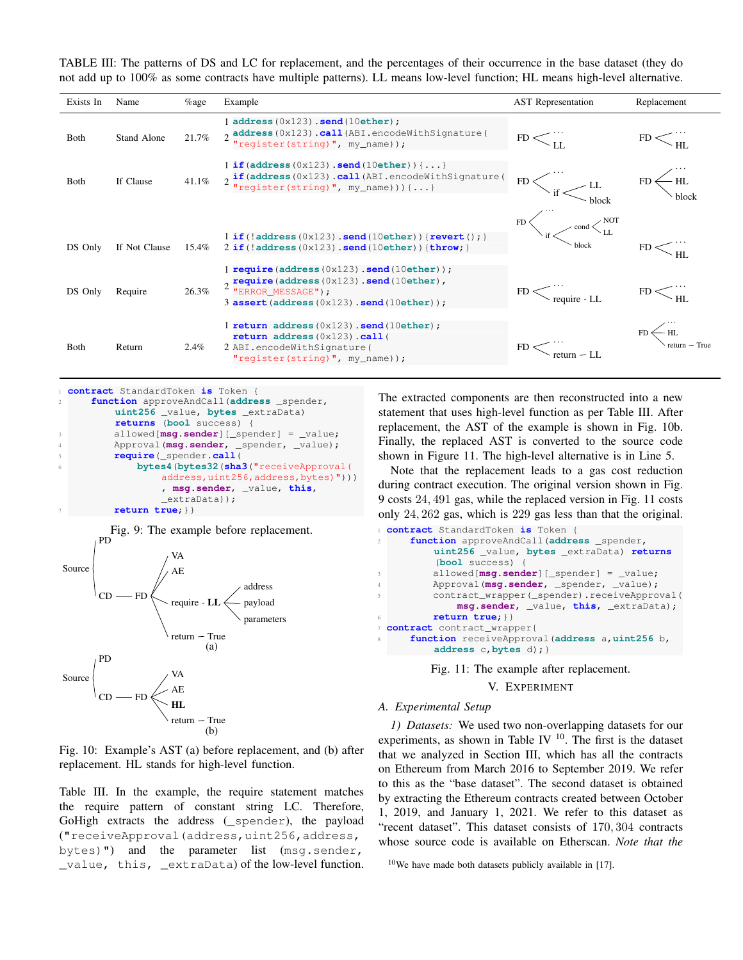TABLE III: The patterns of DS and LC for replacement, and the percentages of their occurrence in the base dataset (they do not add up to 100% as some contracts have multiple patterns). LL means low-level function; HL means high-level alternative.

| Exists In    | Name          | $\%$ age | Example                                                                                                                                                                                 | <b>AST</b> Representation                                                                                                                                                                                                                                                                                                                                                                                                                                     | Replacement                            |
|--------------|---------------|----------|-----------------------------------------------------------------------------------------------------------------------------------------------------------------------------------------|---------------------------------------------------------------------------------------------------------------------------------------------------------------------------------------------------------------------------------------------------------------------------------------------------------------------------------------------------------------------------------------------------------------------------------------------------------------|----------------------------------------|
| <b>B</b> oth | Stand Alone   | 21.7%    | ladress (0x123) . send (10ether);<br>2 <b>address</b> (0x123) .call (ABI.encodeWithSignature)<br>"register(string)", my_name));                                                         | $FD<$ <sub><math>U</math></sub>                                                                                                                                                                                                                                                                                                                                                                                                                               | $\mathrm{FD} < \frac{1}{\mathrm{HL}}$  |
| <b>B</b> oth | If Clause     | 41.1%    | $1$ if (address (0x123). send (10ether) $\{ \ldots \}$<br>$2 \frac{\text{if (address (0x123) .call (ABI.encodeWithSignature))}}{\text{register (string) ", my_name))})(\ldots}$         | $FD \left\langle \right\rangle_{\text{if}} \left\langle \right\rangle$ LL                                                                                                                                                                                                                                                                                                                                                                                     | $\stackrel{\cdot}{\longrightarrow}$ HL |
| DS Only      | If Not Clause | 15.4%    | $1$ if (!address (0x123).send (10ether)) {revert(); }<br>$2$ if (!address (0x123).send (10ether)) {throw; }                                                                             | $\sqrt{2}$ and $\left\langle \frac{1}{N} \right\rangle$ and $\left\langle \frac{1}{N} \right\rangle$ and $\left\langle \frac{1}{N} \right\rangle$ and $\left\langle \frac{1}{N} \right\rangle$ and $\left\langle \frac{1}{N} \right\rangle$ and $\left\langle \frac{1}{N} \right\rangle$ and $\left\langle \frac{1}{N} \right\rangle$ and $\left\langle \frac{1}{N} \right\rangle$ and $\left\langle \frac{1}{N} \right\rangle$ and $\left\langle \frac{1}{N$ |                                        |
| DS Only      | Require       | 26.3%    | $1$ require (address $(0x123)$ . send $(10$ ether));<br>$\sigma$ require (address (0x123) .send (10ether),<br>"ERROR_MESSAGE");<br>$3$ assert (address $(0x123)$ ). send $(10$ ether)); | $FD \leq \frac{m}{\text{require } \cdot LL}$                                                                                                                                                                                                                                                                                                                                                                                                                  |                                        |
| <b>B</b> oth | Return        | $2.4\%$  | $1$ return address $(0x123)$ . send $(10$ ether);<br>return address $(0x123)$ .call (<br>2 ABI.encodeWithSignature(<br>"reqister(string)", $my_name$ ));                                |                                                                                                                                                                                                                                                                                                                                                                                                                                                               | $\leftarrow$ HL                        |

```
1 contract StandardToken is Token {
    2 function approveAndCall(address _spender,
        uint256 _value, bytes _extraData)
        returns (bool success) {
        3 allowed[msg.sender][_spender] = _value;
        4 Approval(msg.sender, _spender, _value);
        5 require(_spender.call(
            6 bytes4(bytes32(sha3("receiveApproval(
                 address,uint256,address,bytes)")))
                 , msg.sender, _value, this,
                 extraData));
        7 return true;}}
```


Fig. 10: Example's AST (a) before replacement, and (b) after replacement. HL stands for high-level function.

Table III. In the example, the require statement matches the require pattern of constant string LC. Therefore, GoHigh extracts the address (\_spender), the payload ("receiveApproval(address,uint256,address, bytes)") and the parameter list (msg.sender, \_value, this, \_extraData) of the low-level function. The extracted components are then reconstructed into a new statement that uses high-level function as per Table III. After replacement, the AST of the example is shown in Fig. 10b. Finally, the replaced AST is converted to the source code shown in Figure 11. The high-level alternative is in Line 5.

Note that the replacement leads to a gas cost reduction during contract execution. The original version shown in Fig. 9 costs 24, 491 gas, while the replaced version in Fig. 11 costs only 24, 262 gas, which is 229 gas less than that the original.

```
1 contract StandardToken is Token {
2 function approveAndCall(address _spender,
         uint256 _value, bytes _extraData) returns
          (bool success) {
3 allowed[msg.sender][_spender] = _value;
4 Approval(msg.sender, _spender, _value);
         contract_wrapper(_spender).receiveApproval(
             msg.sender, _value, this, _extraData);
         6 return true;}}
7 contract contract_wrapper{
     8 function receiveApproval(address a,uint256 b,
         address c,bytes d);}
```
Fig. 11: The example after replacement.

#### V. EXPERIMENT

#### *A. Experimental Setup*

*1) Datasets:* We used two non-overlapping datasets for our experiments, as shown in Table IV  $^{10}$ . The first is the dataset that we analyzed in Section III, which has all the contracts on Ethereum from March 2016 to September 2019. We refer to this as the "base dataset". The second dataset is obtained by extracting the Ethereum contracts created between October 1, 2019, and January 1, 2021. We refer to this dataset as "recent dataset". This dataset consists of 170, 304 contracts whose source code is available on Etherscan. *Note that the*

 $10$ We have made both datasets publicly available in [17].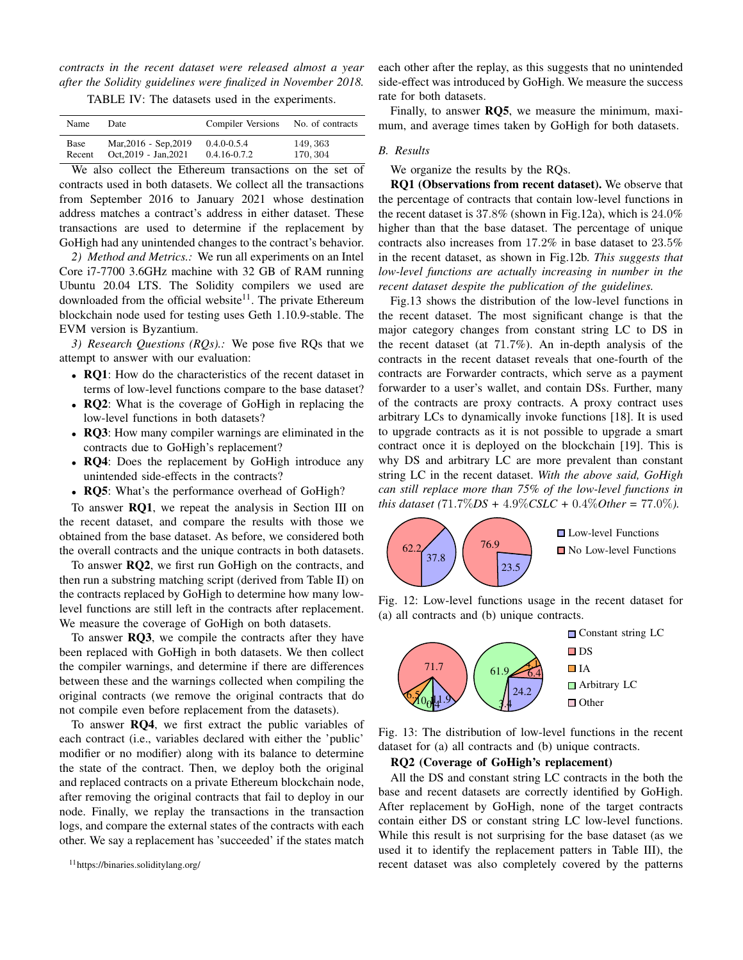*contracts in the recent dataset were released almost a year after the Solidity guidelines were finalized in November 2018.*

TABLE IV: The datasets used in the experiments.

| Name   | Date                  | <b>Compiler Versions</b> | No. of contracts |
|--------|-----------------------|--------------------------|------------------|
| Base   | Mar, 2016 - Sep, 2019 | $0.4.0 - 0.5.4$          | 149, 363         |
| Recent | Oct.2019 - Jan.2021   | $0.4.16 - 0.7.2$         | 170, 304         |

We also collect the Ethereum transactions on the set of contracts used in both datasets. We collect all the transactions from September 2016 to January 2021 whose destination address matches a contract's address in either dataset. These transactions are used to determine if the replacement by GoHigh had any unintended changes to the contract's behavior.

*2) Method and Metrics.:* We run all experiments on an Intel Core i7-7700 3.6GHz machine with 32 GB of RAM running Ubuntu 20.04 LTS. The Solidity compilers we used are downloaded from the official website<sup>11</sup>. The private Ethereum blockchain node used for testing uses Geth 1.10.9-stable. The EVM version is Byzantium.

*3) Research Questions (RQs).:* We pose five RQs that we attempt to answer with our evaluation:

- RQ1: How do the characteristics of the recent dataset in terms of low-level functions compare to the base dataset?
- RQ2: What is the coverage of GoHigh in replacing the low-level functions in both datasets?
- RQ3: How many compiler warnings are eliminated in the contracts due to GoHigh's replacement?
- RQ4: Does the replacement by GoHigh introduce any unintended side-effects in the contracts?
- RQ5: What's the performance overhead of GoHigh?

To answer RQ1, we repeat the analysis in Section III on the recent dataset, and compare the results with those we obtained from the base dataset. As before, we considered both the overall contracts and the unique contracts in both datasets.

To answer RQ2, we first run GoHigh on the contracts, and then run a substring matching script (derived from Table II) on the contracts replaced by GoHigh to determine how many lowlevel functions are still left in the contracts after replacement. We measure the coverage of GoHigh on both datasets.

To answer RQ3, we compile the contracts after they have been replaced with GoHigh in both datasets. We then collect the compiler warnings, and determine if there are differences between these and the warnings collected when compiling the original contracts (we remove the original contracts that do not compile even before replacement from the datasets).

To answer RQ4, we first extract the public variables of each contract (i.e., variables declared with either the 'public' modifier or no modifier) along with its balance to determine the state of the contract. Then, we deploy both the original and replaced contracts on a private Ethereum blockchain node, after removing the original contracts that fail to deploy in our node. Finally, we replay the transactions in the transaction logs, and compare the external states of the contracts with each other. We say a replacement has 'succeeded' if the states match

each other after the replay, as this suggests that no unintended side-effect was introduced by GoHigh. We measure the success rate for both datasets.

Finally, to answer RQ5, we measure the minimum, maximum, and average times taken by GoHigh for both datasets.

#### *B. Results*

We organize the results by the RQs.

RQ1 (Observations from recent dataset). We observe that the percentage of contracts that contain low-level functions in the recent dataset is 37.8% (shown in Fig.12a), which is 24.0% higher than that the base dataset. The percentage of unique contracts also increases from 17.2% in base dataset to 23.5% in the recent dataset, as shown in Fig.12b. *This suggests that low-level functions are actually increasing in number in the recent dataset despite the publication of the guidelines.*

Fig.13 shows the distribution of the low-level functions in the recent dataset. The most significant change is that the major category changes from constant string LC to DS in the recent dataset (at 71.7%). An in-depth analysis of the contracts in the recent dataset reveals that one-fourth of the contracts are Forwarder contracts, which serve as a payment forwarder to a user's wallet, and contain DSs. Further, many of the contracts are proxy contracts. A proxy contract uses arbitrary LCs to dynamically invoke functions [18]. It is used to upgrade contracts as it is not possible to upgrade a smart contract once it is deployed on the blockchain [19]. This is why DS and arbitrary LC are more prevalent than constant string LC in the recent dataset. *With the above said, GoHigh can still replace more than 75% of the low-level functions in this dataset (*71.7%*DS +* 4.9%*CSLC +* 0.4%*Other =* 77.0%*).*



Fig. 12: Low-level functions usage in the recent dataset for (a) all contracts and (b) unique contracts.



Fig. 13: The distribution of low-level functions in the recent dataset for (a) all contracts and (b) unique contracts.

## RQ2 (Coverage of GoHigh's replacement)

All the DS and constant string LC contracts in the both the base and recent datasets are correctly identified by GoHigh. After replacement by GoHigh, none of the target contracts contain either DS or constant string LC low-level functions. While this result is not surprising for the base dataset (as we used it to identify the replacement patters in Table III), the recent dataset was also completely covered by the patterns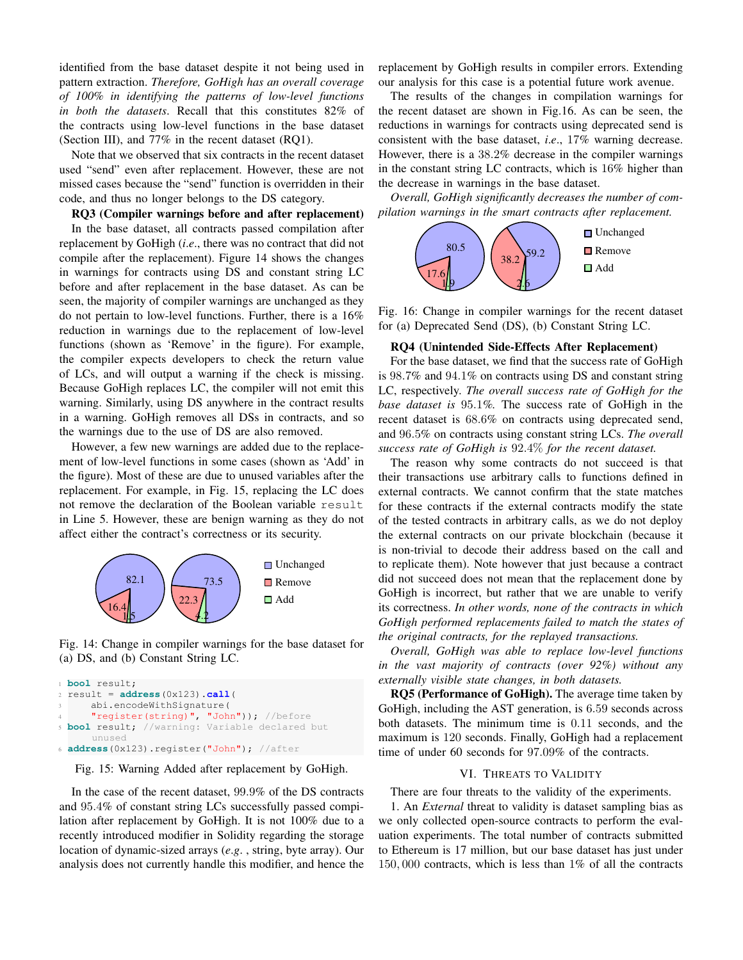identified from the base dataset despite it not being used in pattern extraction. *Therefore, GoHigh has an overall coverage of 100% in identifying the patterns of low-level functions in both the datasets*. Recall that this constitutes 82% of the contracts using low-level functions in the base dataset (Section III), and 77% in the recent dataset (RQ1).

Note that we observed that six contracts in the recent dataset used "send" even after replacement. However, these are not missed cases because the "send" function is overridden in their code, and thus no longer belongs to the DS category.

RQ3 (Compiler warnings before and after replacement) In the base dataset, all contracts passed compilation after replacement by GoHigh (*i*.*e*., there was no contract that did not compile after the replacement). Figure 14 shows the changes in warnings for contracts using DS and constant string LC before and after replacement in the base dataset. As can be seen, the majority of compiler warnings are unchanged as they do not pertain to low-level functions. Further, there is a 16% reduction in warnings due to the replacement of low-level functions (shown as 'Remove' in the figure). For example, the compiler expects developers to check the return value of LCs, and will output a warning if the check is missing. Because GoHigh replaces LC, the compiler will not emit this warning. Similarly, using DS anywhere in the contract results in a warning. GoHigh removes all DSs in contracts, and so the warnings due to the use of DS are also removed.

However, a few new warnings are added due to the replacement of low-level functions in some cases (shown as 'Add' in the figure). Most of these are due to unused variables after the replacement. For example, in Fig. 15, replacing the LC does not remove the declaration of the Boolean variable result in Line 5. However, these are benign warning as they do not affect either the contract's correctness or its security.



Fig. 14: Change in compiler warnings for the base dataset for (a) DS, and (b) Constant String LC.

```
1 bool result;
2 result = address(0x123).call(
     abi.encodeWithSignature(
      "register(string)", "John")); //before
 bool result; //warning: Variable declared but
     unused
6 address(0x123).register("John"); //after
```
Fig. 15: Warning Added after replacement by GoHigh.

In the case of the recent dataset, 99.9% of the DS contracts and 95.4% of constant string LCs successfully passed compilation after replacement by GoHigh. It is not 100% due to a recently introduced modifier in Solidity regarding the storage location of dynamic-sized arrays (*e*.*g*. , string, byte array). Our analysis does not currently handle this modifier, and hence the replacement by GoHigh results in compiler errors. Extending our analysis for this case is a potential future work avenue.

The results of the changes in compilation warnings for the recent dataset are shown in Fig.16. As can be seen, the reductions in warnings for contracts using deprecated send is consistent with the base dataset, *i*.*e*., 17% warning decrease. However, there is a 38.2% decrease in the compiler warnings in the constant string LC contracts, which is 16% higher than the decrease in warnings in the base dataset.

*Overall, GoHigh significantly decreases the number of compilation warnings in the smart contracts after replacement.*



Fig. 16: Change in compiler warnings for the recent dataset for (a) Deprecated Send (DS), (b) Constant String LC.

#### RQ4 (Unintended Side-Effects After Replacement)

For the base dataset, we find that the success rate of GoHigh is 98.7% and 94.1% on contracts using DS and constant string LC, respectively. *The overall success rate of GoHigh for the base dataset is* 95.1*%.* The success rate of GoHigh in the recent dataset is 68.6% on contracts using deprecated send, and 96.5% on contracts using constant string LCs. *The overall success rate of GoHigh is* 92.4% *for the recent dataset.*

The reason why some contracts do not succeed is that their transactions use arbitrary calls to functions defined in external contracts. We cannot confirm that the state matches for these contracts if the external contracts modify the state of the tested contracts in arbitrary calls, as we do not deploy the external contracts on our private blockchain (because it is non-trivial to decode their address based on the call and to replicate them). Note however that just because a contract did not succeed does not mean that the replacement done by GoHigh is incorrect, but rather that we are unable to verify its correctness. *In other words, none of the contracts in which GoHigh performed replacements failed to match the states of the original contracts, for the replayed transactions.*

*Overall, GoHigh was able to replace low-level functions in the vast majority of contracts (over 92%) without any externally visible state changes, in both datasets.*

RQ5 (Performance of GoHigh). The average time taken by GoHigh, including the AST generation, is 6.59 seconds across both datasets. The minimum time is 0.11 seconds, and the maximum is 120 seconds. Finally, GoHigh had a replacement time of under 60 seconds for 97.09% of the contracts.

## VI. THREATS TO VALIDITY

There are four threats to the validity of the experiments.

1. An *External* threat to validity is dataset sampling bias as we only collected open-source contracts to perform the evaluation experiments. The total number of contracts submitted to Ethereum is 17 million, but our base dataset has just under 150, 000 contracts, which is less than 1% of all the contracts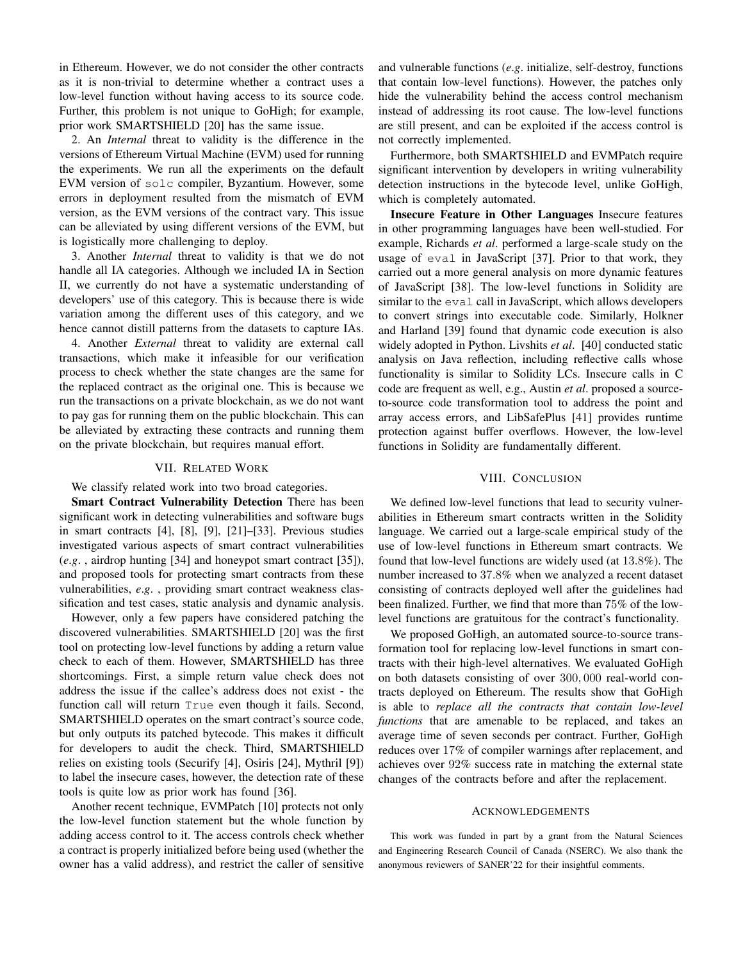in Ethereum. However, we do not consider the other contracts as it is non-trivial to determine whether a contract uses a low-level function without having access to its source code. Further, this problem is not unique to GoHigh; for example, prior work SMARTSHIELD [20] has the same issue.

2. An *Internal* threat to validity is the difference in the versions of Ethereum Virtual Machine (EVM) used for running the experiments. We run all the experiments on the default EVM version of solc compiler, Byzantium. However, some errors in deployment resulted from the mismatch of EVM version, as the EVM versions of the contract vary. This issue can be alleviated by using different versions of the EVM, but is logistically more challenging to deploy.

3. Another *Internal* threat to validity is that we do not handle all IA categories. Although we included IA in Section II, we currently do not have a systematic understanding of developers' use of this category. This is because there is wide variation among the different uses of this category, and we hence cannot distill patterns from the datasets to capture IAs.

4. Another *External* threat to validity are external call transactions, which make it infeasible for our verification process to check whether the state changes are the same for the replaced contract as the original one. This is because we run the transactions on a private blockchain, as we do not want to pay gas for running them on the public blockchain. This can be alleviated by extracting these contracts and running them on the private blockchain, but requires manual effort.

## VII. RELATED WORK

We classify related work into two broad categories.

Smart Contract Vulnerability Detection There has been significant work in detecting vulnerabilities and software bugs in smart contracts [4], [8], [9], [21]–[33]. Previous studies investigated various aspects of smart contract vulnerabilities (*e*.*g*. , airdrop hunting [34] and honeypot smart contract [35]), and proposed tools for protecting smart contracts from these vulnerabilities, *e*.*g*. , providing smart contract weakness classification and test cases, static analysis and dynamic analysis.

However, only a few papers have considered patching the discovered vulnerabilities. SMARTSHIELD [20] was the first tool on protecting low-level functions by adding a return value check to each of them. However, SMARTSHIELD has three shortcomings. First, a simple return value check does not address the issue if the callee's address does not exist - the function call will return True even though it fails. Second, SMARTSHIELD operates on the smart contract's source code, but only outputs its patched bytecode. This makes it difficult for developers to audit the check. Third, SMARTSHIELD relies on existing tools (Securify [4], Osiris [24], Mythril [9]) to label the insecure cases, however, the detection rate of these tools is quite low as prior work has found [36].

Another recent technique, EVMPatch [10] protects not only the low-level function statement but the whole function by adding access control to it. The access controls check whether a contract is properly initialized before being used (whether the owner has a valid address), and restrict the caller of sensitive and vulnerable functions (*e*.*g*. initialize, self-destroy, functions that contain low-level functions). However, the patches only hide the vulnerability behind the access control mechanism instead of addressing its root cause. The low-level functions are still present, and can be exploited if the access control is not correctly implemented.

Furthermore, both SMARTSHIELD and EVMPatch require significant intervention by developers in writing vulnerability detection instructions in the bytecode level, unlike GoHigh, which is completely automated.

Insecure Feature in Other Languages Insecure features in other programming languages have been well-studied. For example, Richards *et al*. performed a large-scale study on the usage of eval in JavaScript [37]. Prior to that work, they carried out a more general analysis on more dynamic features of JavaScript [38]. The low-level functions in Solidity are similar to the eval call in JavaScript, which allows developers to convert strings into executable code. Similarly, Holkner and Harland [39] found that dynamic code execution is also widely adopted in Python. Livshits *et al*. [40] conducted static analysis on Java reflection, including reflective calls whose functionality is similar to Solidity LCs. Insecure calls in C code are frequent as well, e.g., Austin *et al*. proposed a sourceto-source code transformation tool to address the point and array access errors, and LibSafePlus [41] provides runtime protection against buffer overflows. However, the low-level functions in Solidity are fundamentally different.

## VIII. CONCLUSION

We defined low-level functions that lead to security vulnerabilities in Ethereum smart contracts written in the Solidity language. We carried out a large-scale empirical study of the use of low-level functions in Ethereum smart contracts. We found that low-level functions are widely used (at 13.8%). The number increased to 37.8% when we analyzed a recent dataset consisting of contracts deployed well after the guidelines had been finalized. Further, we find that more than 75% of the lowlevel functions are gratuitous for the contract's functionality.

We proposed GoHigh, an automated source-to-source transformation tool for replacing low-level functions in smart contracts with their high-level alternatives. We evaluated GoHigh on both datasets consisting of over 300, 000 real-world contracts deployed on Ethereum. The results show that GoHigh is able to *replace all the contracts that contain low-level functions* that are amenable to be replaced, and takes an average time of seven seconds per contract. Further, GoHigh reduces over 17% of compiler warnings after replacement, and achieves over 92% success rate in matching the external state changes of the contracts before and after the replacement.

#### ACKNOWLEDGEMENTS

This work was funded in part by a grant from the Natural Sciences and Engineering Research Council of Canada (NSERC). We also thank the anonymous reviewers of SANER'22 for their insightful comments.